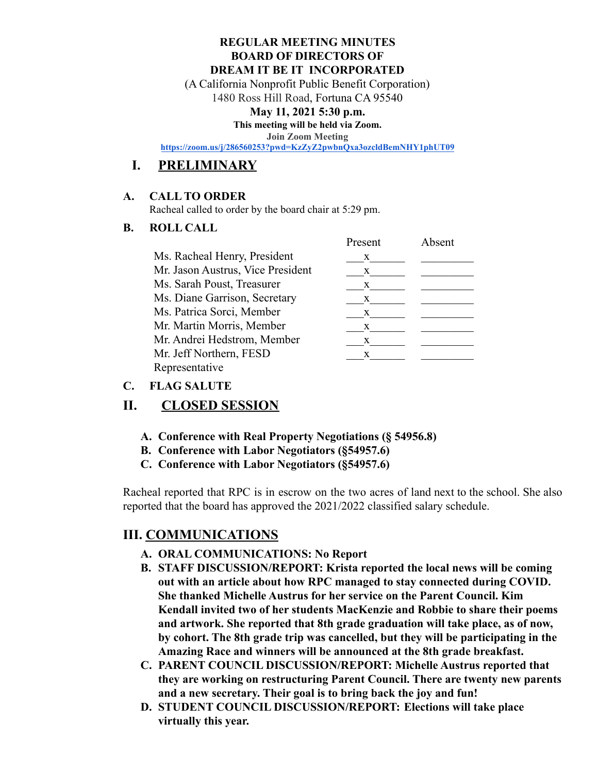#### **REGULAR MEETING MINUTES BOARD OF DIRECTORS OF DREAM IT BE IT INCORPORATED**

(A California Nonprofit Public Benefit Corporation)

1480 Ross Hill Road, Fortuna CA 95540

### **May 11, 2021 5:30 p.m.**

**This meeting will be held via Zoom.**

**Join Zoom Meeting**

**<https://zoom.us/j/286560253?pwd=KzZyZ2pwbnQxa3ozcldBemNHY1phUT09>**

# **I. PRELIMINARY**

### **A. CALL TO ORDER**

Racheal called to order by the board chair at 5:29 pm.

### **B. ROLL CALL**

|                                   | Present | Absent |
|-----------------------------------|---------|--------|
| Ms. Racheal Henry, President      | X       |        |
| Mr. Jason Austrus, Vice President | X       |        |
| Ms. Sarah Poust, Treasurer        | X       |        |
| Ms. Diane Garrison, Secretary     | X       |        |
| Ms. Patrica Sorci, Member         | X       |        |
| Mr. Martin Morris, Member         | X       |        |
| Mr. Andrei Hedstrom, Member       | X       |        |
| Mr. Jeff Northern, FESD           | X       |        |
| Representative                    |         |        |

### **C. FLAG SALUTE**

# **II. CLOSED SESSION**

- **A. Conference with Real Property Negotiations (§ 54956.8)**
- **B. Conference with Labor Negotiators (§54957.6)**
- **C. Conference with Labor Negotiators (§54957.6)**

Racheal reported that RPC is in escrow on the two acres of land next to the school. She also reported that the board has approved the 2021/2022 classified salary schedule.

## **III. COMMUNICATIONS**

- **A. ORAL COMMUNICATIONS: No Report**
- **B. STAFF DISCUSSION/REPORT: Krista reported the local news will be coming out with an article about how RPC managed to stay connected during COVID. She thanked Michelle Austrus for her service on the Parent Council. Kim Kendall invited two of her students MacKenzie and Robbie to share their poems and artwork. She reported that 8th grade graduation will take place, as of now, by cohort. The 8th grade trip was cancelled, but they will be participating in the Amazing Race and winners will be announced at the 8th grade breakfast.**
- **C. PARENT COUNCIL DISCUSSION/REPORT: Michelle Austrus reported that they are working on restructuring Parent Council. There are twenty new parents and a new secretary. Their goal is to bring back the joy and fun!**
- **D. STUDENT COUNCIL DISCUSSION/REPORT: Elections will take place virtually this year.**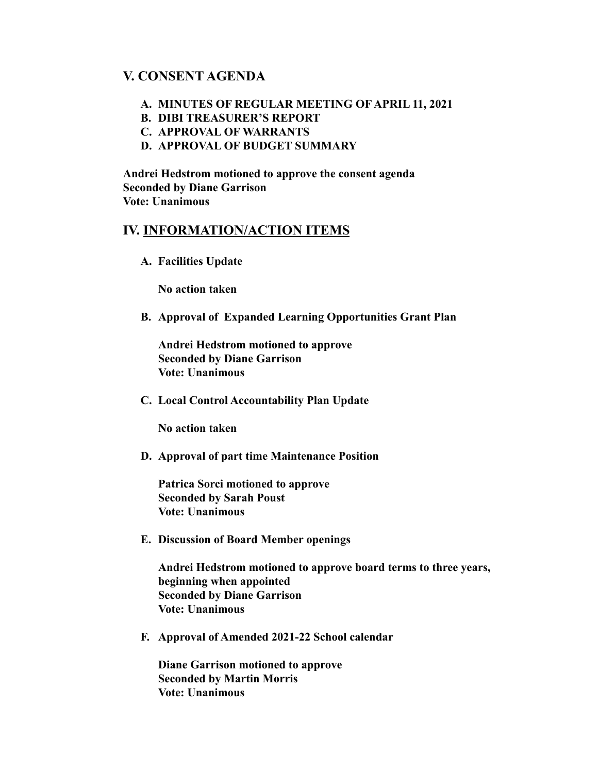## **V. CONSENT AGENDA**

- **A. MINUTES OF REGULAR MEETING OF APRIL 11, 2021**
- **B. DIBI TREASURER'S REPORT**
- **C. APPROVAL OF WARRANTS**
- **D. APPROVAL OF BUDGET SUMMARY**

**Andrei Hedstrom motioned to approve the consent agenda Seconded by Diane Garrison Vote: Unanimous**

### **IV. INFORMATION/ACTION ITEMS**

**A. Facilities Update**

**No action taken**

**B. Approval of Expanded Learning Opportunities Grant Plan**

**Andrei Hedstrom motioned to approve Seconded by Diane Garrison Vote: Unanimous**

**C. Local Control Accountability Plan Update**

**No action taken**

**D. Approval of part time Maintenance Position**

**Patrica Sorci motioned to approve Seconded by Sarah Poust Vote: Unanimous**

**E. Discussion of Board Member openings**

**Andrei Hedstrom motioned to approve board terms to three years, beginning when appointed Seconded by Diane Garrison Vote: Unanimous**

**F. Approval of Amended 2021-22 School calendar**

**Diane Garrison motioned to approve Seconded by Martin Morris Vote: Unanimous**